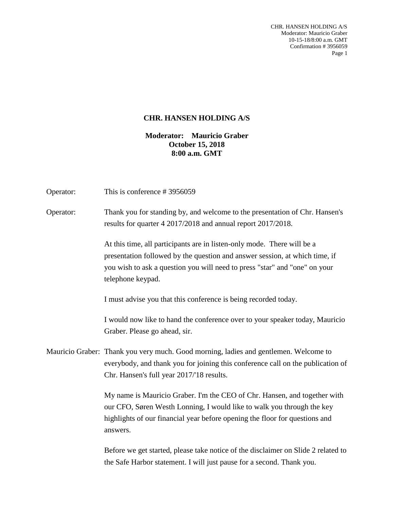CHR. HANSEN HOLDING A/S Moderator: Mauricio Graber 10-15-18/8:00 a.m. GMT Confirmation # 3956059 Page 1

## **CHR. HANSEN HOLDING A/S**

**Moderator: Mauricio Graber October 15, 2018 8:00 a.m. GMT**

| Operator: | This is conference #3956059                                                                                                                                                                                                                               |
|-----------|-----------------------------------------------------------------------------------------------------------------------------------------------------------------------------------------------------------------------------------------------------------|
| Operator: | Thank you for standing by, and welcome to the presentation of Chr. Hansen's<br>results for quarter 4 2017/2018 and annual report 2017/2018.                                                                                                               |
|           | At this time, all participants are in listen-only mode. There will be a<br>presentation followed by the question and answer session, at which time, if<br>you wish to ask a question you will need to press "star" and "one" on your<br>telephone keypad. |
|           | I must advise you that this conference is being recorded today.                                                                                                                                                                                           |
|           | I would now like to hand the conference over to your speaker today, Mauricio<br>Graber. Please go ahead, sir.                                                                                                                                             |
|           | Mauricio Graber: Thank you very much. Good morning, ladies and gentlemen. Welcome to<br>everybody, and thank you for joining this conference call on the publication of<br>Chr. Hansen's full year 2017/'18 results.                                      |
|           | My name is Mauricio Graber. I'm the CEO of Chr. Hansen, and together with<br>our CFO, Søren Westh Lonning, I would like to walk you through the key<br>highlights of our financial year before opening the floor for questions and<br>answers.            |
|           | Before we get started, please take notice of the disclaimer on Slide 2 related to<br>the Safe Harbor statement. I will just pause for a second. Thank you.                                                                                                |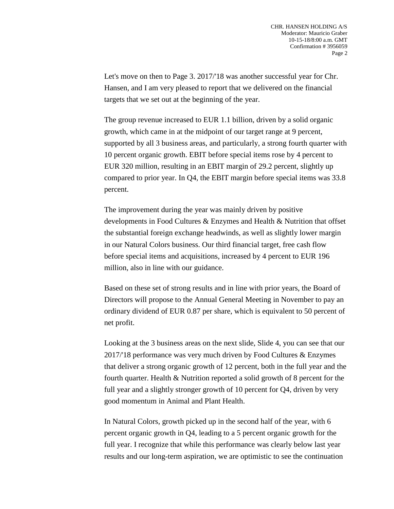Let's move on then to Page 3. 2017/'18 was another successful year for Chr. Hansen, and I am very pleased to report that we delivered on the financial targets that we set out at the beginning of the year.

The group revenue increased to EUR 1.1 billion, driven by a solid organic growth, which came in at the midpoint of our target range at 9 percent, supported by all 3 business areas, and particularly, a strong fourth quarter with 10 percent organic growth. EBIT before special items rose by 4 percent to EUR 320 million, resulting in an EBIT margin of 29.2 percent, slightly up compared to prior year. In Q4, the EBIT margin before special items was 33.8 percent.

The improvement during the year was mainly driven by positive developments in Food Cultures & Enzymes and Health & Nutrition that offset the substantial foreign exchange headwinds, as well as slightly lower margin in our Natural Colors business. Our third financial target, free cash flow before special items and acquisitions, increased by 4 percent to EUR 196 million, also in line with our guidance.

Based on these set of strong results and in line with prior years, the Board of Directors will propose to the Annual General Meeting in November to pay an ordinary dividend of EUR 0.87 per share, which is equivalent to 50 percent of net profit.

Looking at the 3 business areas on the next slide, Slide 4, you can see that our 2017/'18 performance was very much driven by Food Cultures & Enzymes that deliver a strong organic growth of 12 percent, both in the full year and the fourth quarter. Health & Nutrition reported a solid growth of 8 percent for the full year and a slightly stronger growth of 10 percent for Q4, driven by very good momentum in Animal and Plant Health.

In Natural Colors, growth picked up in the second half of the year, with 6 percent organic growth in Q4, leading to a 5 percent organic growth for the full year. I recognize that while this performance was clearly below last year results and our long-term aspiration, we are optimistic to see the continuation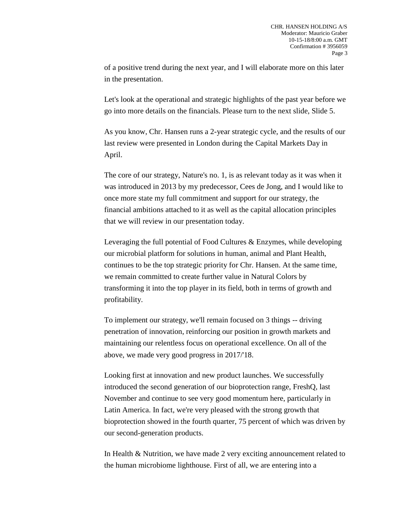of a positive trend during the next year, and I will elaborate more on this later in the presentation.

Let's look at the operational and strategic highlights of the past year before we go into more details on the financials. Please turn to the next slide, Slide 5.

As you know, Chr. Hansen runs a 2-year strategic cycle, and the results of our last review were presented in London during the Capital Markets Day in April.

The core of our strategy, Nature's no. 1, is as relevant today as it was when it was introduced in 2013 by my predecessor, Cees de Jong, and I would like to once more state my full commitment and support for our strategy, the financial ambitions attached to it as well as the capital allocation principles that we will review in our presentation today.

Leveraging the full potential of Food Cultures & Enzymes, while developing our microbial platform for solutions in human, animal and Plant Health, continues to be the top strategic priority for Chr. Hansen. At the same time, we remain committed to create further value in Natural Colors by transforming it into the top player in its field, both in terms of growth and profitability.

To implement our strategy, we'll remain focused on 3 things -- driving penetration of innovation, reinforcing our position in growth markets and maintaining our relentless focus on operational excellence. On all of the above, we made very good progress in 2017/'18.

Looking first at innovation and new product launches. We successfully introduced the second generation of our bioprotection range, FreshQ, last November and continue to see very good momentum here, particularly in Latin America. In fact, we're very pleased with the strong growth that bioprotection showed in the fourth quarter, 75 percent of which was driven by our second-generation products.

In Health & Nutrition, we have made 2 very exciting announcement related to the human microbiome lighthouse. First of all, we are entering into a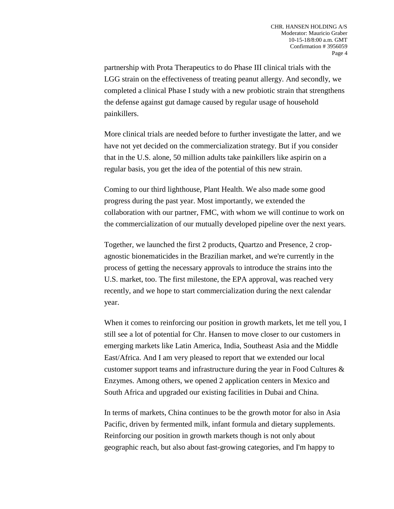partnership with Prota Therapeutics to do Phase III clinical trials with the LGG strain on the effectiveness of treating peanut allergy. And secondly, we completed a clinical Phase I study with a new probiotic strain that strengthens the defense against gut damage caused by regular usage of household painkillers.

More clinical trials are needed before to further investigate the latter, and we have not yet decided on the commercialization strategy. But if you consider that in the U.S. alone, 50 million adults take painkillers like aspirin on a regular basis, you get the idea of the potential of this new strain.

Coming to our third lighthouse, Plant Health. We also made some good progress during the past year. Most importantly, we extended the collaboration with our partner, FMC, with whom we will continue to work on the commercialization of our mutually developed pipeline over the next years.

Together, we launched the first 2 products, Quartzo and Presence, 2 cropagnostic bionematicides in the Brazilian market, and we're currently in the process of getting the necessary approvals to introduce the strains into the U.S. market, too. The first milestone, the EPA approval, was reached very recently, and we hope to start commercialization during the next calendar year.

When it comes to reinforcing our position in growth markets, let me tell you, I still see a lot of potential for Chr. Hansen to move closer to our customers in emerging markets like Latin America, India, Southeast Asia and the Middle East/Africa. And I am very pleased to report that we extended our local customer support teams and infrastructure during the year in Food Cultures  $\&$ Enzymes. Among others, we opened 2 application centers in Mexico and South Africa and upgraded our existing facilities in Dubai and China.

In terms of markets, China continues to be the growth motor for also in Asia Pacific, driven by fermented milk, infant formula and dietary supplements. Reinforcing our position in growth markets though is not only about geographic reach, but also about fast-growing categories, and I'm happy to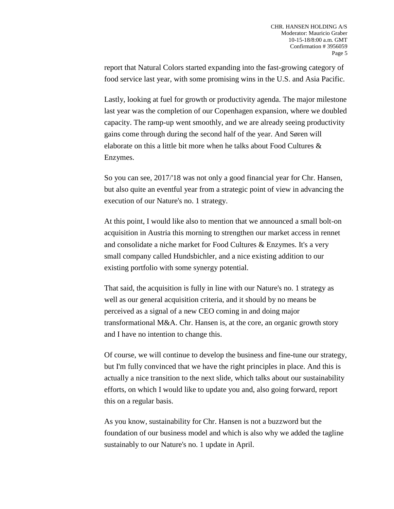report that Natural Colors started expanding into the fast-growing category of food service last year, with some promising wins in the U.S. and Asia Pacific.

Lastly, looking at fuel for growth or productivity agenda. The major milestone last year was the completion of our Copenhagen expansion, where we doubled capacity. The ramp-up went smoothly, and we are already seeing productivity gains come through during the second half of the year. And Søren will elaborate on this a little bit more when he talks about Food Cultures & Enzymes.

So you can see, 2017/'18 was not only a good financial year for Chr. Hansen, but also quite an eventful year from a strategic point of view in advancing the execution of our Nature's no. 1 strategy.

At this point, I would like also to mention that we announced a small bolt-on acquisition in Austria this morning to strengthen our market access in rennet and consolidate a niche market for Food Cultures & Enzymes. It's a very small company called Hundsbichler, and a nice existing addition to our existing portfolio with some synergy potential.

That said, the acquisition is fully in line with our Nature's no. 1 strategy as well as our general acquisition criteria, and it should by no means be perceived as a signal of a new CEO coming in and doing major transformational M&A. Chr. Hansen is, at the core, an organic growth story and I have no intention to change this.

Of course, we will continue to develop the business and fine-tune our strategy, but I'm fully convinced that we have the right principles in place. And this is actually a nice transition to the next slide, which talks about our sustainability efforts, on which I would like to update you and, also going forward, report this on a regular basis.

As you know, sustainability for Chr. Hansen is not a buzzword but the foundation of our business model and which is also why we added the tagline sustainably to our Nature's no. 1 update in April.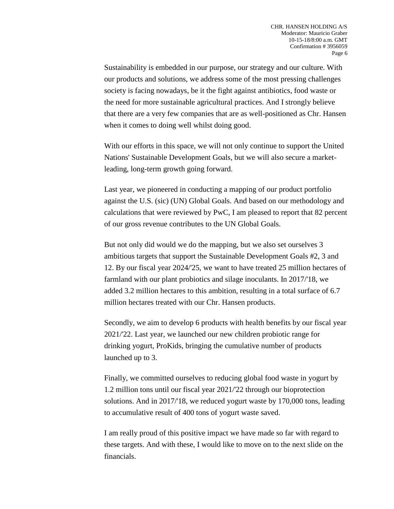Sustainability is embedded in our purpose, our strategy and our culture. With our products and solutions, we address some of the most pressing challenges society is facing nowadays, be it the fight against antibiotics, food waste or the need for more sustainable agricultural practices. And I strongly believe that there are a very few companies that are as well-positioned as Chr. Hansen when it comes to doing well whilst doing good.

With our efforts in this space, we will not only continue to support the United Nations' Sustainable Development Goals, but we will also secure a marketleading, long-term growth going forward.

Last year, we pioneered in conducting a mapping of our product portfolio against the U.S. (sic) (UN) Global Goals. And based on our methodology and calculations that were reviewed by PwC, I am pleased to report that 82 percent of our gross revenue contributes to the UN Global Goals.

But not only did would we do the mapping, but we also set ourselves 3 ambitious targets that support the Sustainable Development Goals #2, 3 and 12. By our fiscal year 2024/'25, we want to have treated 25 million hectares of farmland with our plant probiotics and silage inoculants. In 2017/'18, we added 3.2 million hectares to this ambition, resulting in a total surface of 6.7 million hectares treated with our Chr. Hansen products.

Secondly, we aim to develop 6 products with health benefits by our fiscal year 2021/'22. Last year, we launched our new children probiotic range for drinking yogurt, ProKids, bringing the cumulative number of products launched up to 3.

Finally, we committed ourselves to reducing global food waste in yogurt by 1.2 million tons until our fiscal year 2021/'22 through our bioprotection solutions. And in 2017/'18, we reduced yogurt waste by 170,000 tons, leading to accumulative result of 400 tons of yogurt waste saved.

I am really proud of this positive impact we have made so far with regard to these targets. And with these, I would like to move on to the next slide on the financials.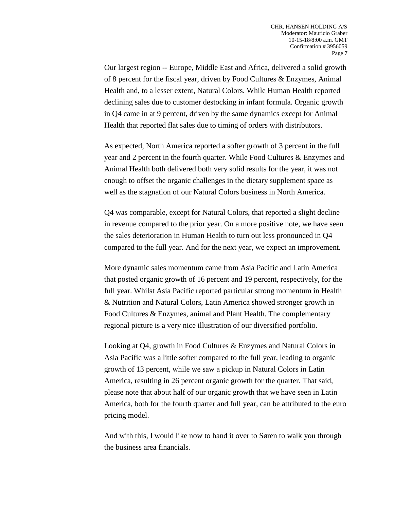Our largest region -- Europe, Middle East and Africa, delivered a solid growth of 8 percent for the fiscal year, driven by Food Cultures & Enzymes, Animal Health and, to a lesser extent, Natural Colors. While Human Health reported declining sales due to customer destocking in infant formula. Organic growth in Q4 came in at 9 percent, driven by the same dynamics except for Animal Health that reported flat sales due to timing of orders with distributors.

As expected, North America reported a softer growth of 3 percent in the full year and 2 percent in the fourth quarter. While Food Cultures & Enzymes and Animal Health both delivered both very solid results for the year, it was not enough to offset the organic challenges in the dietary supplement space as well as the stagnation of our Natural Colors business in North America.

Q4 was comparable, except for Natural Colors, that reported a slight decline in revenue compared to the prior year. On a more positive note, we have seen the sales deterioration in Human Health to turn out less pronounced in Q4 compared to the full year. And for the next year, we expect an improvement.

More dynamic sales momentum came from Asia Pacific and Latin America that posted organic growth of 16 percent and 19 percent, respectively, for the full year. Whilst Asia Pacific reported particular strong momentum in Health & Nutrition and Natural Colors, Latin America showed stronger growth in Food Cultures & Enzymes, animal and Plant Health. The complementary regional picture is a very nice illustration of our diversified portfolio.

Looking at Q4, growth in Food Cultures & Enzymes and Natural Colors in Asia Pacific was a little softer compared to the full year, leading to organic growth of 13 percent, while we saw a pickup in Natural Colors in Latin America, resulting in 26 percent organic growth for the quarter. That said, please note that about half of our organic growth that we have seen in Latin America, both for the fourth quarter and full year, can be attributed to the euro pricing model.

And with this, I would like now to hand it over to Søren to walk you through the business area financials.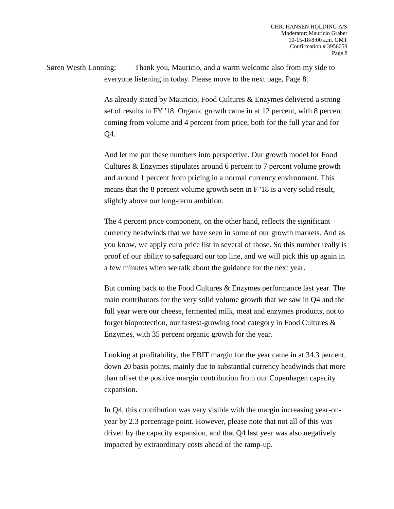Søren Westh Lonning: Thank you, Mauricio, and a warm welcome also from my side to everyone listening in today. Please move to the next page, Page 8.

> As already stated by Mauricio, Food Cultures & Enzymes delivered a strong set of results in FY '18. Organic growth came in at 12 percent, with 8 percent coming from volume and 4 percent from price, both for the full year and for Q4.

> And let me put these numbers into perspective. Our growth model for Food Cultures & Enzymes stipulates around 6 percent to 7 percent volume growth and around 1 percent from pricing in a normal currency environment. This means that the 8 percent volume growth seen in F '18 is a very solid result, slightly above our long-term ambition.

The 4 percent price component, on the other hand, reflects the significant currency headwinds that we have seen in some of our growth markets. And as you know, we apply euro price list in several of those. So this number really is proof of our ability to safeguard our top line, and we will pick this up again in a few minutes when we talk about the guidance for the next year.

But coming back to the Food Cultures & Enzymes performance last year. The main contributors for the very solid volume growth that we saw in Q4 and the full year were our cheese, fermented milk, meat and enzymes products, not to forget bioprotection, our fastest-growing food category in Food Cultures & Enzymes, with 35 percent organic growth for the year.

Looking at profitability, the EBIT margin for the year came in at 34.3 percent, down 20 basis points, mainly due to substantial currency headwinds that more than offset the positive margin contribution from our Copenhagen capacity expansion.

In Q4, this contribution was very visible with the margin increasing year-onyear by 2.3 percentage point. However, please note that not all of this was driven by the capacity expansion, and that Q4 last year was also negatively impacted by extraordinary costs ahead of the ramp-up.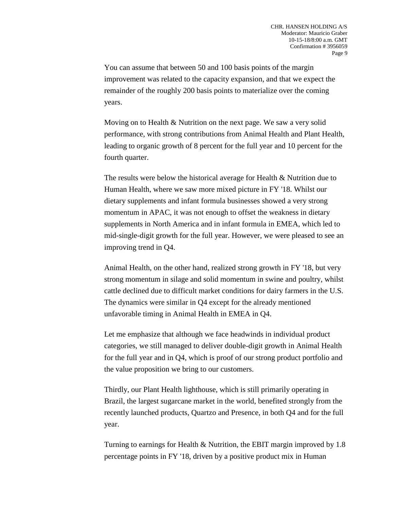You can assume that between 50 and 100 basis points of the margin improvement was related to the capacity expansion, and that we expect the remainder of the roughly 200 basis points to materialize over the coming years.

Moving on to Health & Nutrition on the next page. We saw a very solid performance, with strong contributions from Animal Health and Plant Health, leading to organic growth of 8 percent for the full year and 10 percent for the fourth quarter.

The results were below the historical average for Health & Nutrition due to Human Health, where we saw more mixed picture in FY '18. Whilst our dietary supplements and infant formula businesses showed a very strong momentum in APAC, it was not enough to offset the weakness in dietary supplements in North America and in infant formula in EMEA, which led to mid-single-digit growth for the full year. However, we were pleased to see an improving trend in Q4.

Animal Health, on the other hand, realized strong growth in FY '18, but very strong momentum in silage and solid momentum in swine and poultry, whilst cattle declined due to difficult market conditions for dairy farmers in the U.S. The dynamics were similar in Q4 except for the already mentioned unfavorable timing in Animal Health in EMEA in Q4.

Let me emphasize that although we face headwinds in individual product categories, we still managed to deliver double-digit growth in Animal Health for the full year and in Q4, which is proof of our strong product portfolio and the value proposition we bring to our customers.

Thirdly, our Plant Health lighthouse, which is still primarily operating in Brazil, the largest sugarcane market in the world, benefited strongly from the recently launched products, Quartzo and Presence, in both Q4 and for the full year.

Turning to earnings for Health & Nutrition, the EBIT margin improved by 1.8 percentage points in FY '18, driven by a positive product mix in Human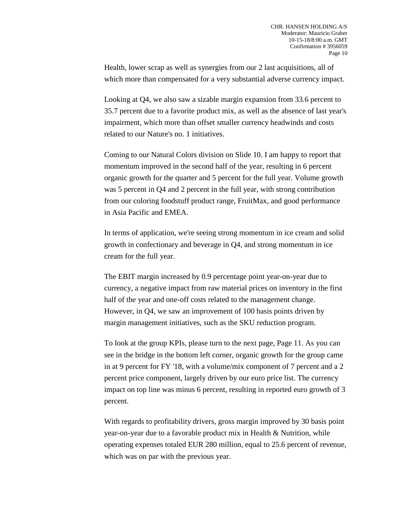Health, lower scrap as well as synergies from our 2 last acquisitions, all of which more than compensated for a very substantial adverse currency impact.

Looking at Q4, we also saw a sizable margin expansion from 33.6 percent to 35.7 percent due to a favorite product mix, as well as the absence of last year's impairment, which more than offset smaller currency headwinds and costs related to our Nature's no. 1 initiatives.

Coming to our Natural Colors division on Slide 10. I am happy to report that momentum improved in the second half of the year, resulting in 6 percent organic growth for the quarter and 5 percent for the full year. Volume growth was 5 percent in Q4 and 2 percent in the full year, with strong contribution from our coloring foodstuff product range, FruitMax, and good performance in Asia Pacific and EMEA.

In terms of application, we're seeing strong momentum in ice cream and solid growth in confectionary and beverage in Q4, and strong momentum in ice cream for the full year.

The EBIT margin increased by 0.9 percentage point year-on-year due to currency, a negative impact from raw material prices on inventory in the first half of the year and one-off costs related to the management change. However, in Q4, we saw an improvement of 100 basis points driven by margin management initiatives, such as the SKU reduction program.

To look at the group KPIs, please turn to the next page, Page 11. As you can see in the bridge in the bottom left corner, organic growth for the group came in at 9 percent for FY '18, with a volume/mix component of 7 percent and a 2 percent price component, largely driven by our euro price list. The currency impact on top line was minus 6 percent, resulting in reported euro growth of 3 percent.

With regards to profitability drivers, gross margin improved by 30 basis point year-on-year due to a favorable product mix in Health & Nutrition, while operating expenses totaled EUR 280 million, equal to 25.6 percent of revenue, which was on par with the previous year.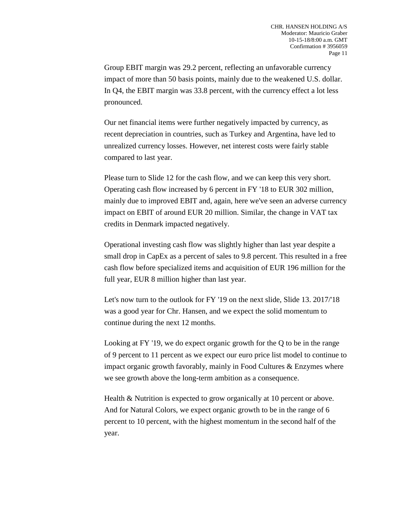Group EBIT margin was 29.2 percent, reflecting an unfavorable currency impact of more than 50 basis points, mainly due to the weakened U.S. dollar. In Q4, the EBIT margin was 33.8 percent, with the currency effect a lot less pronounced.

Our net financial items were further negatively impacted by currency, as recent depreciation in countries, such as Turkey and Argentina, have led to unrealized currency losses. However, net interest costs were fairly stable compared to last year.

Please turn to Slide 12 for the cash flow, and we can keep this very short. Operating cash flow increased by 6 percent in FY '18 to EUR 302 million, mainly due to improved EBIT and, again, here we've seen an adverse currency impact on EBIT of around EUR 20 million. Similar, the change in VAT tax credits in Denmark impacted negatively.

Operational investing cash flow was slightly higher than last year despite a small drop in CapEx as a percent of sales to 9.8 percent. This resulted in a free cash flow before specialized items and acquisition of EUR 196 million for the full year, EUR 8 million higher than last year.

Let's now turn to the outlook for FY '19 on the next slide, Slide 13. 2017/'18 was a good year for Chr. Hansen, and we expect the solid momentum to continue during the next 12 months.

Looking at FY '19, we do expect organic growth for the Q to be in the range of 9 percent to 11 percent as we expect our euro price list model to continue to impact organic growth favorably, mainly in Food Cultures & Enzymes where we see growth above the long-term ambition as a consequence.

Health & Nutrition is expected to grow organically at 10 percent or above. And for Natural Colors, we expect organic growth to be in the range of 6 percent to 10 percent, with the highest momentum in the second half of the year.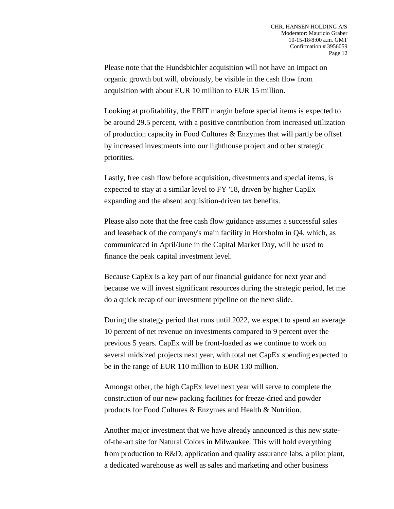Please note that the Hundsbichler acquisition will not have an impact on organic growth but will, obviously, be visible in the cash flow from acquisition with about EUR 10 million to EUR 15 million.

Looking at profitability, the EBIT margin before special items is expected to be around 29.5 percent, with a positive contribution from increased utilization of production capacity in Food Cultures & Enzymes that will partly be offset by increased investments into our lighthouse project and other strategic priorities.

Lastly, free cash flow before acquisition, divestments and special items, is expected to stay at a similar level to FY '18, driven by higher CapEx expanding and the absent acquisition-driven tax benefits.

Please also note that the free cash flow guidance assumes a successful sales and leaseback of the company's main facility in Horsholm in Q4, which, as communicated in April/June in the Capital Market Day, will be used to finance the peak capital investment level.

Because CapEx is a key part of our financial guidance for next year and because we will invest significant resources during the strategic period, let me do a quick recap of our investment pipeline on the next slide.

During the strategy period that runs until 2022, we expect to spend an average 10 percent of net revenue on investments compared to 9 percent over the previous 5 years. CapEx will be front-loaded as we continue to work on several midsized projects next year, with total net CapEx spending expected to be in the range of EUR 110 million to EUR 130 million.

Amongst other, the high CapEx level next year will serve to complete the construction of our new packing facilities for freeze-dried and powder products for Food Cultures & Enzymes and Health & Nutrition.

Another major investment that we have already announced is this new stateof-the-art site for Natural Colors in Milwaukee. This will hold everything from production to R&D, application and quality assurance labs, a pilot plant, a dedicated warehouse as well as sales and marketing and other business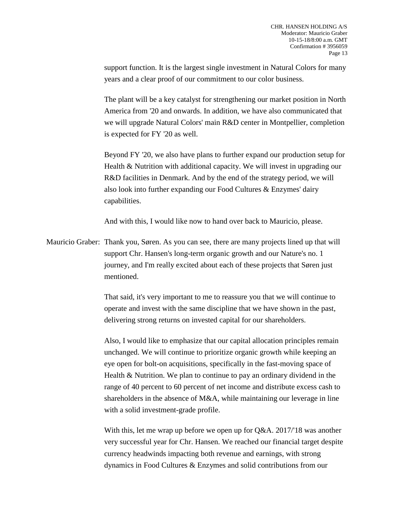support function. It is the largest single investment in Natural Colors for many years and a clear proof of our commitment to our color business.

The plant will be a key catalyst for strengthening our market position in North America from '20 and onwards. In addition, we have also communicated that we will upgrade Natural Colors' main R&D center in Montpellier, completion is expected for FY '20 as well.

Beyond FY '20, we also have plans to further expand our production setup for Health & Nutrition with additional capacity. We will invest in upgrading our R&D facilities in Denmark. And by the end of the strategy period, we will also look into further expanding our Food Cultures & Enzymes' dairy capabilities.

And with this, I would like now to hand over back to Mauricio, please.

Mauricio Graber: Thank you, Søren. As you can see, there are many projects lined up that will support Chr. Hansen's long-term organic growth and our Nature's no. 1 journey, and I'm really excited about each of these projects that Søren just mentioned.

> That said, it's very important to me to reassure you that we will continue to operate and invest with the same discipline that we have shown in the past, delivering strong returns on invested capital for our shareholders.

Also, I would like to emphasize that our capital allocation principles remain unchanged. We will continue to prioritize organic growth while keeping an eye open for bolt-on acquisitions, specifically in the fast-moving space of Health & Nutrition. We plan to continue to pay an ordinary dividend in the range of 40 percent to 60 percent of net income and distribute excess cash to shareholders in the absence of M&A, while maintaining our leverage in line with a solid investment-grade profile.

With this, let me wrap up before we open up for Q&A. 2017/'18 was another very successful year for Chr. Hansen. We reached our financial target despite currency headwinds impacting both revenue and earnings, with strong dynamics in Food Cultures & Enzymes and solid contributions from our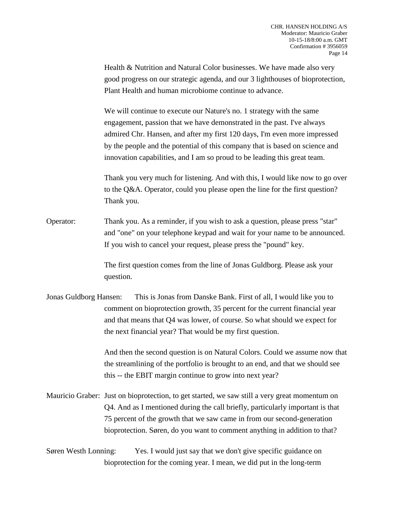Health & Nutrition and Natural Color businesses. We have made also very good progress on our strategic agenda, and our 3 lighthouses of bioprotection, Plant Health and human microbiome continue to advance.

We will continue to execute our Nature's no. 1 strategy with the same engagement, passion that we have demonstrated in the past. I've always admired Chr. Hansen, and after my first 120 days, I'm even more impressed by the people and the potential of this company that is based on science and innovation capabilities, and I am so proud to be leading this great team.

Thank you very much for listening. And with this, I would like now to go over to the Q&A. Operator, could you please open the line for the first question? Thank you.

Operator: Thank you. As a reminder, if you wish to ask a question, please press "star" and "one" on your telephone keypad and wait for your name to be announced. If you wish to cancel your request, please press the "pound" key.

> The first question comes from the line of Jonas Guldborg. Please ask your question.

Jonas Guldborg Hansen: This is Jonas from Danske Bank. First of all, I would like you to comment on bioprotection growth, 35 percent for the current financial year and that means that Q4 was lower, of course. So what should we expect for the next financial year? That would be my first question.

> And then the second question is on Natural Colors. Could we assume now that the streamlining of the portfolio is brought to an end, and that we should see this -- the EBIT margin continue to grow into next year?

Mauricio Graber: Just on bioprotection, to get started, we saw still a very great momentum on Q4. And as I mentioned during the call briefly, particularly important is that 75 percent of the growth that we saw came in from our second-generation bioprotection. Søren, do you want to comment anything in addition to that?

Søren Westh Lonning: Yes. I would just say that we don't give specific guidance on bioprotection for the coming year. I mean, we did put in the long-term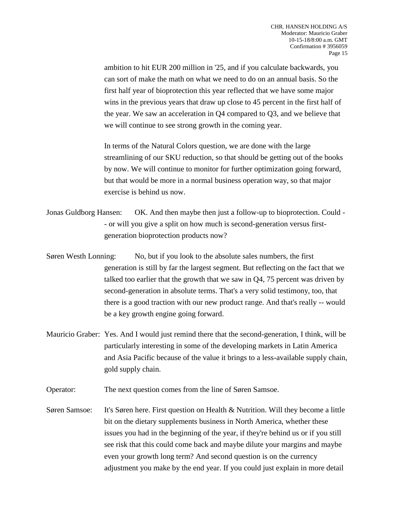ambition to hit EUR 200 million in '25, and if you calculate backwards, you can sort of make the math on what we need to do on an annual basis. So the first half year of bioprotection this year reflected that we have some major wins in the previous years that draw up close to 45 percent in the first half of the year. We saw an acceleration in Q4 compared to Q3, and we believe that we will continue to see strong growth in the coming year.

In terms of the Natural Colors question, we are done with the large streamlining of our SKU reduction, so that should be getting out of the books by now. We will continue to monitor for further optimization going forward, but that would be more in a normal business operation way, so that major exercise is behind us now.

- Jonas Guldborg Hansen: OK. And then maybe then just a follow-up to bioprotection. Could - or will you give a split on how much is second-generation versus firstgeneration bioprotection products now?
- Søren Westh Lonning: No, but if you look to the absolute sales numbers, the first generation is still by far the largest segment. But reflecting on the fact that we talked too earlier that the growth that we saw in Q4, 75 percent was driven by second-generation in absolute terms. That's a very solid testimony, too, that there is a good traction with our new product range. And that's really -- would be a key growth engine going forward.
- Mauricio Graber: Yes. And I would just remind there that the second-generation, I think, will be particularly interesting in some of the developing markets in Latin America and Asia Pacific because of the value it brings to a less-available supply chain, gold supply chain.

Operator: The next question comes from the line of Søren Samsoe.

Søren Samsoe: It's Søren here. First question on Health & Nutrition. Will they become a little bit on the dietary supplements business in North America, whether these issues you had in the beginning of the year, if they're behind us or if you still see risk that this could come back and maybe dilute your margins and maybe even your growth long term? And second question is on the currency adjustment you make by the end year. If you could just explain in more detail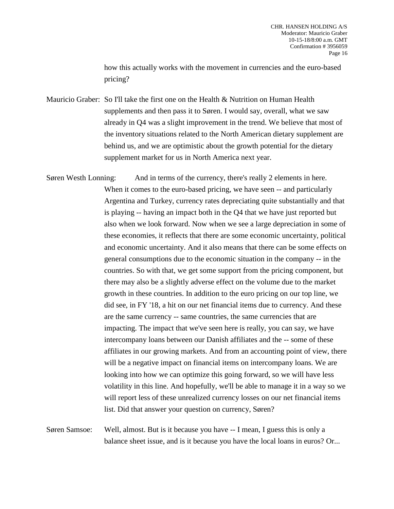how this actually works with the movement in currencies and the euro-based pricing?

Mauricio Graber: So I'll take the first one on the Health & Nutrition on Human Health supplements and then pass it to Søren. I would say, overall, what we saw already in Q4 was a slight improvement in the trend. We believe that most of the inventory situations related to the North American dietary supplement are behind us, and we are optimistic about the growth potential for the dietary supplement market for us in North America next year.

Søren Westh Lonning: And in terms of the currency, there's really 2 elements in here. When it comes to the euro-based pricing, we have seen -- and particularly Argentina and Turkey, currency rates depreciating quite substantially and that is playing -- having an impact both in the Q4 that we have just reported but also when we look forward. Now when we see a large depreciation in some of these economies, it reflects that there are some economic uncertainty, political and economic uncertainty. And it also means that there can be some effects on general consumptions due to the economic situation in the company -- in the countries. So with that, we get some support from the pricing component, but there may also be a slightly adverse effect on the volume due to the market growth in these countries. In addition to the euro pricing on our top line, we did see, in FY '18, a hit on our net financial items due to currency. And these are the same currency -- same countries, the same currencies that are impacting. The impact that we've seen here is really, you can say, we have intercompany loans between our Danish affiliates and the -- some of these affiliates in our growing markets. And from an accounting point of view, there will be a negative impact on financial items on intercompany loans. We are looking into how we can optimize this going forward, so we will have less volatility in this line. And hopefully, we'll be able to manage it in a way so we will report less of these unrealized currency losses on our net financial items list. Did that answer your question on currency, Søren?

Søren Samsoe: Well, almost. But is it because you have -- I mean, I guess this is only a balance sheet issue, and is it because you have the local loans in euros? Or...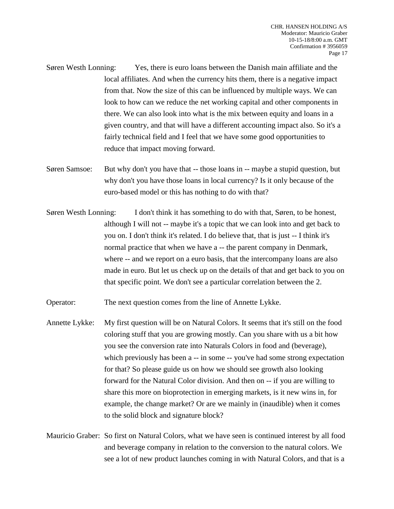- Søren Westh Lonning: Yes, there is euro loans between the Danish main affiliate and the local affiliates. And when the currency hits them, there is a negative impact from that. Now the size of this can be influenced by multiple ways. We can look to how can we reduce the net working capital and other components in there. We can also look into what is the mix between equity and loans in a given country, and that will have a different accounting impact also. So it's a fairly technical field and I feel that we have some good opportunities to reduce that impact moving forward.
- Søren Samsoe: But why don't you have that -- those loans in -- maybe a stupid question, but why don't you have those loans in local currency? Is it only because of the euro-based model or this has nothing to do with that?
- Søren Westh Lonning: I don't think it has something to do with that, Søren, to be honest, although I will not -- maybe it's a topic that we can look into and get back to you on. I don't think it's related. I do believe that, that is just -- I think it's normal practice that when we have a -- the parent company in Denmark, where -- and we report on a euro basis, that the intercompany loans are also made in euro. But let us check up on the details of that and get back to you on that specific point. We don't see a particular correlation between the 2.

Operator: The next question comes from the line of Annette Lykke.

- Annette Lykke: My first question will be on Natural Colors. It seems that it's still on the food coloring stuff that you are growing mostly. Can you share with us a bit how you see the conversion rate into Naturals Colors in food and (beverage), which previously has been a -- in some -- you've had some strong expectation for that? So please guide us on how we should see growth also looking forward for the Natural Color division. And then on -- if you are willing to share this more on bioprotection in emerging markets, is it new wins in, for example, the change market? Or are we mainly in (inaudible) when it comes to the solid block and signature block?
- Mauricio Graber: So first on Natural Colors, what we have seen is continued interest by all food and beverage company in relation to the conversion to the natural colors. We see a lot of new product launches coming in with Natural Colors, and that is a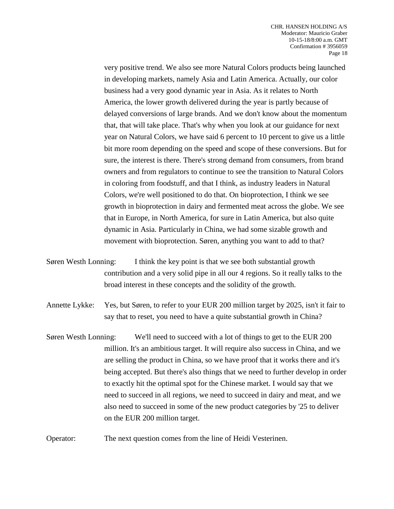very positive trend. We also see more Natural Colors products being launched in developing markets, namely Asia and Latin America. Actually, our color business had a very good dynamic year in Asia. As it relates to North America, the lower growth delivered during the year is partly because of delayed conversions of large brands. And we don't know about the momentum that, that will take place. That's why when you look at our guidance for next year on Natural Colors, we have said 6 percent to 10 percent to give us a little bit more room depending on the speed and scope of these conversions. But for sure, the interest is there. There's strong demand from consumers, from brand owners and from regulators to continue to see the transition to Natural Colors in coloring from foodstuff, and that I think, as industry leaders in Natural Colors, we're well positioned to do that. On bioprotection, I think we see growth in bioprotection in dairy and fermented meat across the globe. We see that in Europe, in North America, for sure in Latin America, but also quite dynamic in Asia. Particularly in China, we had some sizable growth and movement with bioprotection. Søren, anything you want to add to that?

Søren Westh Lonning: I think the key point is that we see both substantial growth contribution and a very solid pipe in all our 4 regions. So it really talks to the broad interest in these concepts and the solidity of the growth.

Annette Lykke: Yes, but Søren, to refer to your EUR 200 million target by 2025, isn't it fair to say that to reset, you need to have a quite substantial growth in China?

Søren Westh Lonning: We'll need to succeed with a lot of things to get to the EUR 200 million. It's an ambitious target. It will require also success in China, and we are selling the product in China, so we have proof that it works there and it's being accepted. But there's also things that we need to further develop in order to exactly hit the optimal spot for the Chinese market. I would say that we need to succeed in all regions, we need to succeed in dairy and meat, and we also need to succeed in some of the new product categories by '25 to deliver on the EUR 200 million target.

Operator: The next question comes from the line of Heidi Vesterinen.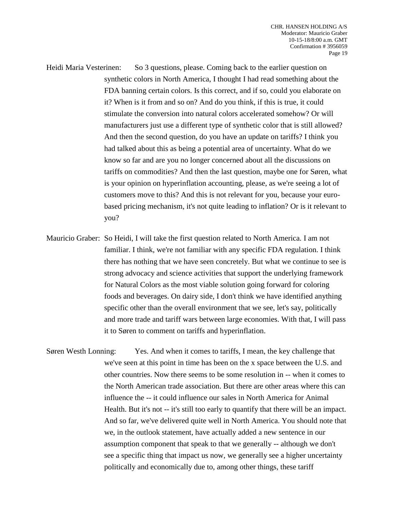Heidi Maria Vesterinen: So 3 questions, please. Coming back to the earlier question on synthetic colors in North America, I thought I had read something about the FDA banning certain colors. Is this correct, and if so, could you elaborate on it? When is it from and so on? And do you think, if this is true, it could stimulate the conversion into natural colors accelerated somehow? Or will manufacturers just use a different type of synthetic color that is still allowed? And then the second question, do you have an update on tariffs? I think you had talked about this as being a potential area of uncertainty. What do we know so far and are you no longer concerned about all the discussions on tariffs on commodities? And then the last question, maybe one for Søren, what is your opinion on hyperinflation accounting, please, as we're seeing a lot of customers move to this? And this is not relevant for you, because your eurobased pricing mechanism, it's not quite leading to inflation? Or is it relevant to you?

Mauricio Graber: So Heidi, I will take the first question related to North America. I am not familiar. I think, we're not familiar with any specific FDA regulation. I think there has nothing that we have seen concretely. But what we continue to see is strong advocacy and science activities that support the underlying framework for Natural Colors as the most viable solution going forward for coloring foods and beverages. On dairy side, I don't think we have identified anything specific other than the overall environment that we see, let's say, politically and more trade and tariff wars between large economies. With that, I will pass it to Søren to comment on tariffs and hyperinflation.

Søren Westh Lonning: Yes. And when it comes to tariffs, I mean, the key challenge that we've seen at this point in time has been on the x space between the U.S. and other countries. Now there seems to be some resolution in -- when it comes to the North American trade association. But there are other areas where this can influence the -- it could influence our sales in North America for Animal Health. But it's not -- it's still too early to quantify that there will be an impact. And so far, we've delivered quite well in North America. You should note that we, in the outlook statement, have actually added a new sentence in our assumption component that speak to that we generally -- although we don't see a specific thing that impact us now, we generally see a higher uncertainty politically and economically due to, among other things, these tariff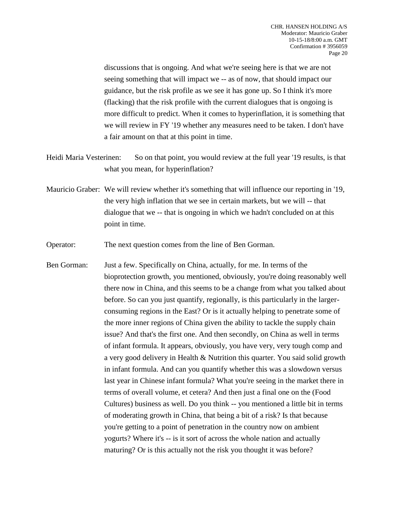discussions that is ongoing. And what we're seeing here is that we are not seeing something that will impact we -- as of now, that should impact our guidance, but the risk profile as we see it has gone up. So I think it's more (flacking) that the risk profile with the current dialogues that is ongoing is more difficult to predict. When it comes to hyperinflation, it is something that we will review in FY '19 whether any measures need to be taken. I don't have a fair amount on that at this point in time.

- Heidi Maria Vesterinen: So on that point, you would review at the full year '19 results, is that what you mean, for hyperinflation?
- Mauricio Graber: We will review whether it's something that will influence our reporting in '19, the very high inflation that we see in certain markets, but we will -- that dialogue that we -- that is ongoing in which we hadn't concluded on at this point in time.
- Operator: The next question comes from the line of Ben Gorman.
- Ben Gorman: Just a few. Specifically on China, actually, for me. In terms of the bioprotection growth, you mentioned, obviously, you're doing reasonably well there now in China, and this seems to be a change from what you talked about before. So can you just quantify, regionally, is this particularly in the largerconsuming regions in the East? Or is it actually helping to penetrate some of the more inner regions of China given the ability to tackle the supply chain issue? And that's the first one. And then secondly, on China as well in terms of infant formula. It appears, obviously, you have very, very tough comp and a very good delivery in Health & Nutrition this quarter. You said solid growth in infant formula. And can you quantify whether this was a slowdown versus last year in Chinese infant formula? What you're seeing in the market there in terms of overall volume, et cetera? And then just a final one on the (Food Cultures) business as well. Do you think -- you mentioned a little bit in terms of moderating growth in China, that being a bit of a risk? Is that because you're getting to a point of penetration in the country now on ambient yogurts? Where it's -- is it sort of across the whole nation and actually maturing? Or is this actually not the risk you thought it was before?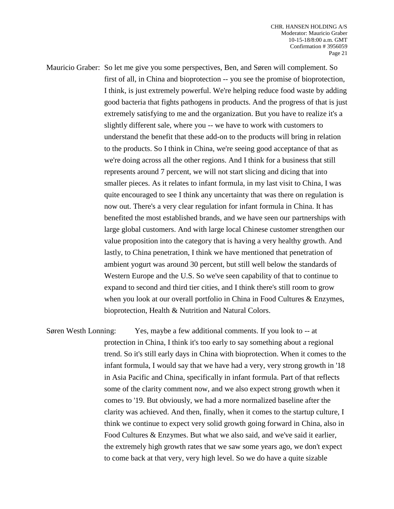Mauricio Graber: So let me give you some perspectives, Ben, and Søren will complement. So first of all, in China and bioprotection -- you see the promise of bioprotection, I think, is just extremely powerful. We're helping reduce food waste by adding good bacteria that fights pathogens in products. And the progress of that is just extremely satisfying to me and the organization. But you have to realize it's a slightly different sale, where you -- we have to work with customers to understand the benefit that these add-on to the products will bring in relation to the products. So I think in China, we're seeing good acceptance of that as we're doing across all the other regions. And I think for a business that still represents around 7 percent, we will not start slicing and dicing that into smaller pieces. As it relates to infant formula, in my last visit to China, I was quite encouraged to see I think any uncertainty that was there on regulation is now out. There's a very clear regulation for infant formula in China. It has benefited the most established brands, and we have seen our partnerships with large global customers. And with large local Chinese customer strengthen our value proposition into the category that is having a very healthy growth. And lastly, to China penetration, I think we have mentioned that penetration of ambient yogurt was around 30 percent, but still well below the standards of Western Europe and the U.S. So we've seen capability of that to continue to expand to second and third tier cities, and I think there's still room to grow when you look at our overall portfolio in China in Food Cultures & Enzymes, bioprotection, Health & Nutrition and Natural Colors.

Søren Westh Lonning: Yes, maybe a few additional comments. If you look to -- at protection in China, I think it's too early to say something about a regional trend. So it's still early days in China with bioprotection. When it comes to the infant formula, I would say that we have had a very, very strong growth in '18 in Asia Pacific and China, specifically in infant formula. Part of that reflects some of the clarity comment now, and we also expect strong growth when it comes to '19. But obviously, we had a more normalized baseline after the clarity was achieved. And then, finally, when it comes to the startup culture, I think we continue to expect very solid growth going forward in China, also in Food Cultures & Enzymes. But what we also said, and we've said it earlier, the extremely high growth rates that we saw some years ago, we don't expect to come back at that very, very high level. So we do have a quite sizable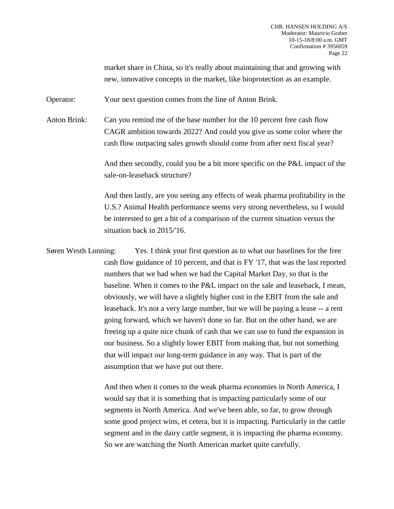market share in China, so it's really about maintaining that and growing with new, innovative concepts in the market, like bioprotection as an example.

Operator: Your next question comes from the line of Anton Brink.

Anton Brink: Can you remind me of the base number for the 10 percent free cash flow CAGR ambition towards 2022? And could you give us some color where the cash flow outpacing sales growth should come from after next fiscal year?

> And then secondly, could you be a bit more specific on the P&L impact of the sale-on-leaseback structure?

> And then lastly, are you seeing any effects of weak pharma profitability in the U.S.? Animal Health performance seems very strong nevertheless, so I would be interested to get a bit of a comparison of the current situation versus the situation back in 2015/'16.

Søren Westh Lonning: Yes. I think your first question as to what our baselines for the free cash flow guidance of 10 percent, and that is FY '17, that was the last reported numbers that we had when we had the Capital Market Day, so that is the baseline. When it comes to the P&L impact on the sale and leaseback, I mean, obviously, we will have a slightly higher cost in the EBIT from the sale and leaseback. It's not a very large number, but we will be paying a lease -- a rent going forward, which we haven't done so far. But on the other hand, we are freeing up a quite nice chunk of cash that we can use to fund the expansion in our business. So a slightly lower EBIT from making that, but not something that will impact our long-term guidance in any way. That is part of the assumption that we have put out there.

> And then when it comes to the weak pharma economies in North America, I would say that it is something that is impacting particularly some of our segments in North America. And we've been able, so far, to grow through some good project wins, et cetera, but it is impacting. Particularly in the cattle segment and in the dairy cattle segment, it is impacting the pharma economy. So we are watching the North American market quite carefully.